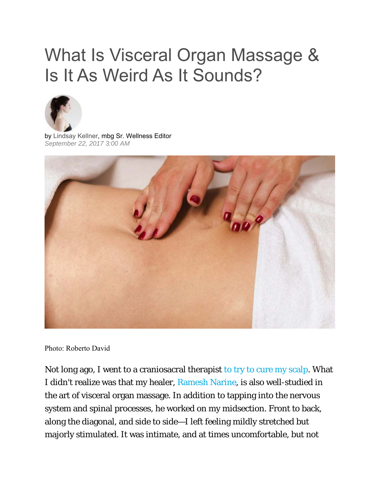## What Is Visceral Organ Massage & Is It As Weird As It Sounds?



by Lindsay Kellner, mbg Sr. Wellness Editor *September 22, 2017 3:00 AM*



Photo: Roberto David

Not long ago, I went to a craniosacral therapist to try to cure my scalp. What I didn't realize was that my healer, Ramesh Narine, is also well-studied in the art of visceral organ massage. In addition to tapping into the nervous system and spinal processes, he worked on my midsection. Front to back, along the diagonal, and side to side—I left feeling mildly stretched but majorly stimulated. It was intimate, and at times uncomfortable, but not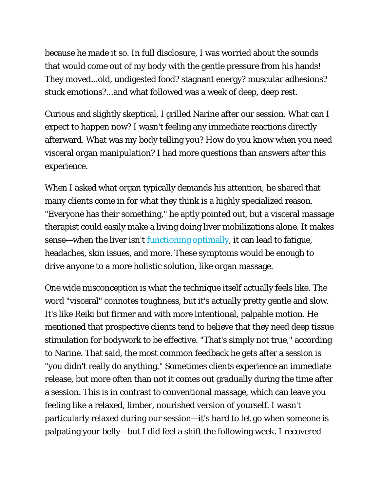because he made it so. In full disclosure, I was worried about the sounds that would come out of my body with the gentle pressure from his hands! They moved...old, undigested food? stagnant energy? muscular adhesions? stuck emotions?...and what followed was a week of deep, deep rest.

Curious and slightly skeptical, I grilled Narine after our session. What can I expect to happen now? I wasn't feeling any immediate reactions directly afterward. What was my body telling you? How do you know when you need visceral organ manipulation? I had more questions than answers after this experience.

When I asked what organ typically demands his attention, he shared that many clients come in for what they think is a highly specialized reason. "Everyone has their something," he aptly pointed out, but a visceral massage therapist could easily make a living doing liver mobilizations alone. It makes sense—when the liver isn't functioning optimally, it can lead to fatigue, headaches, skin issues, and more. These symptoms would be enough to drive anyone to a more holistic solution, like organ massage.

One wide misconception is what the technique itself actually feels like. The word "visceral" connotes toughness, but it's actually pretty gentle and slow. It's like Reiki but firmer and with more intentional, palpable motion. He mentioned that prospective clients tend to believe that they need deep tissue stimulation for bodywork to be effective. "That's simply not true," according to Narine. That said, the most common feedback he gets after a session is "you didn't really do anything." Sometimes clients experience an immediate release, but more often than not it comes out gradually during the time after a session. This is in contrast to conventional massage, which can leave you feeling like a relaxed, limber, nourished version of yourself. I wasn't particularly relaxed during our session—it's hard to let go when someone is palpating your belly—but I did feel a shift the following week. I recovered